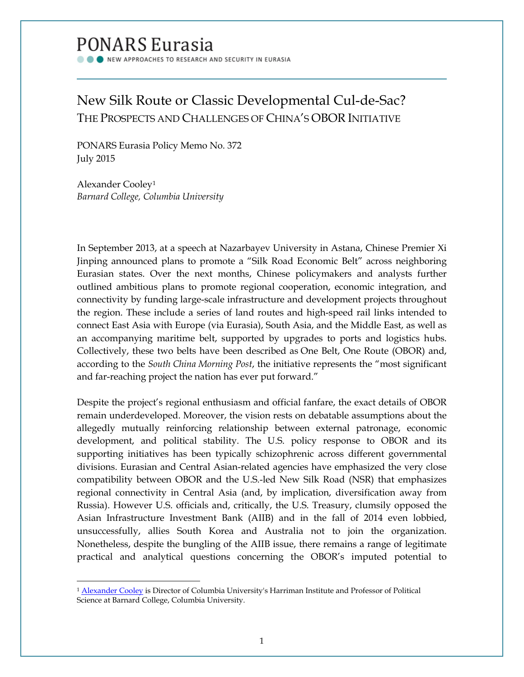# **PONARS Eurasia**

NEW APPROACHES TO RESEARCH AND SECURITY IN EURASIA

# New Silk Route or Classic Developmental Cul-de-Sac? THE PROSPECTS AND CHALLENGES OF CHINA'S OBOR INITIATIVE

PONARS Eurasia Policy Memo No. 372 July 2015

Alexander Cooley[1](#page-0-0) *Barnard College, Columbia University*

In September 2013, at a speech at Nazarbayev University in Astana, Chinese Premier Xi Jinping announced plans to promote a "Silk Road Economic Belt" across neighboring Eurasian states. Over the next months, Chinese policymakers and analysts further outlined ambitious plans to promote regional cooperation, economic integration, and connectivity by funding large-scale infrastructure and development projects throughout the region. These include a series of land routes and high-speed rail links intended to connect East Asia with Europe (via Eurasia), South Asia, and the Middle East, as well as an accompanying maritime belt, supported by upgrades to ports and logistics hubs. Collectively, these two belts have been described as One Belt, One Route (OBOR) and, according to the *South China Morning Post*, the initiative represents the "most significant and far-reaching project the nation has ever put forward."

Despite the project's regional enthusiasm and official fanfare, the exact details of OBOR remain underdeveloped. Moreover, the vision rests on debatable assumptions about the allegedly mutually reinforcing relationship between external patronage, economic development, and political stability. The U.S. policy response to OBOR and its supporting initiatives has been typically schizophrenic across different governmental divisions. Eurasian and Central Asian-related agencies have emphasized the very close compatibility between OBOR and the U.S.-led New Silk Road (NSR) that emphasizes regional connectivity in Central Asia (and, by implication, diversification away from Russia). However U.S. officials and, critically, the U.S. Treasury, clumsily opposed the Asian Infrastructure Investment Bank (AIIB) and in the fall of 2014 even lobbied, unsuccessfully, allies South Korea and Australia not to join the organization. Nonetheless, despite the bungling of the AIIB issue, there remains a range of legitimate practical and analytical questions concerning the OBOR's imputed potential to

<span id="page-0-0"></span><sup>1</sup> [Alexander Cooley](http://www.ponarseurasia.org/members/alexander-cooley) is Director of Columbia University's Harriman Institute and Professor of Political Science at Barnard College, Columbia University.  $\overline{\phantom{a}}$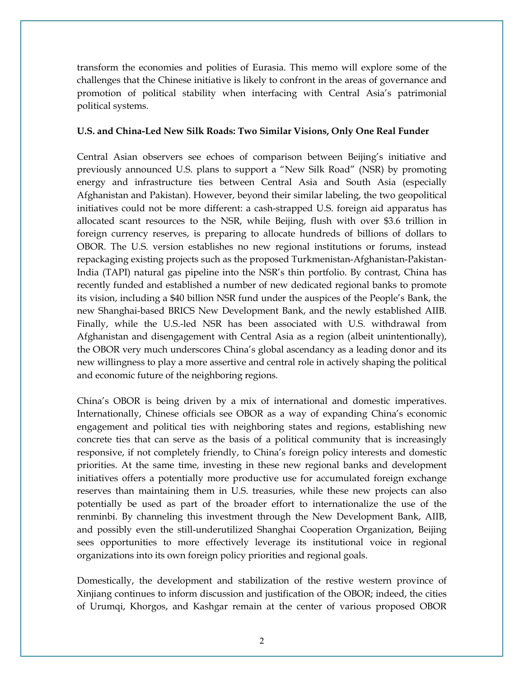transform the economies and polities of Eurasia. This memo will explore some of the challenges that the Chinese initiative is likely to confront in the areas of governance and promotion of political stability when interfacing with Central Asia's patrimonial political systems.

#### **U.S. and China-Led New Silk Roads: Two Similar Visions, Only One Real Funder**

Central Asian observers see echoes of comparison between Beijing's initiative and previously announced U.S. plans to support a "New Silk Road" (NSR) by promoting energy and infrastructure ties between Central Asia and South Asia (especially Afghanistan and Pakistan). However, beyond their similar labeling, the two geopolitical initiatives could not be more different: a cash-strapped U.S. foreign aid apparatus has allocated scant resources to the NSR, while Beijing, flush with over \$3.6 trillion in foreign currency reserves, is preparing to allocate hundreds of billions of dollars to OBOR. The U.S. version establishes no new regional institutions or forums, instead repackaging existing projects such as the proposed Turkmenistan-Afghanistan-Pakistan-India (TAPI) natural gas pipeline into the NSR's thin portfolio. By contrast, China has recently funded and established a number of new dedicated regional banks to promote its vision, including a \$40 billion NSR fund under the auspices of the People's Bank, the new Shanghai-based BRICS New Development Bank, and the newly established AIIB. Finally, while the U.S.-led NSR has been associated with U.S. withdrawal from Afghanistan and disengagement with Central Asia as a region (albeit unintentionally), the OBOR very much underscores China's global ascendancy as a leading donor and its new willingness to play a more assertive and central role in actively shaping the political and economic future of the neighboring regions.

China's OBOR is being driven by a mix of international and domestic imperatives. Internationally, Chinese officials see OBOR as a way of expanding China's economic engagement and political ties with neighboring states and regions, establishing new concrete ties that can serve as the basis of a political community that is increasingly responsive, if not completely friendly, to China's foreign policy interests and domestic priorities. At the same time, investing in these new regional banks and development initiatives offers a potentially more productive use for accumulated foreign exchange reserves than maintaining them in U.S. treasuries, while these new projects can also potentially be used as part of the broader effort to internationalize the use of the renminbi. By channeling this investment through the New Development Bank, AIIB, and possibly even the still-underutilized Shanghai Cooperation Organization, Beijing sees opportunities to more effectively leverage its institutional voice in regional organizations into its own foreign policy priorities and regional goals.

Domestically, the development and stabilization of the restive western province of Xinjiang continues to inform discussion and justification of the OBOR; indeed, the cities of Urumqi, Khorgos, and Kashgar remain at the center of various proposed OBOR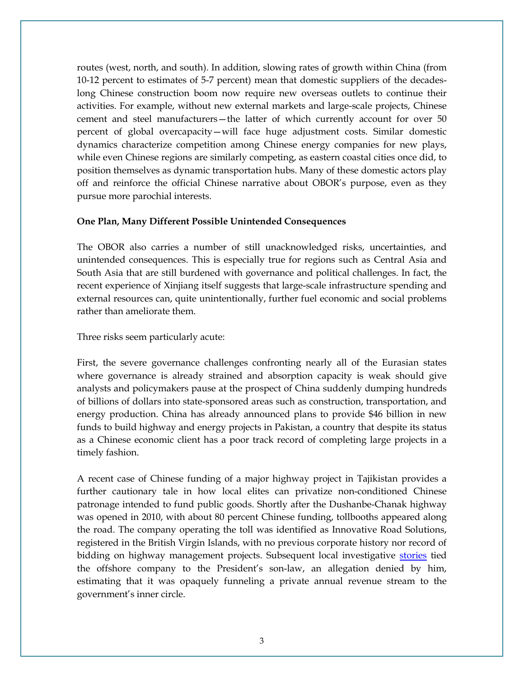routes (west, north, and south). In addition, slowing rates of growth within China (from 10-12 percent to estimates of 5-7 percent) mean that domestic suppliers of the decadeslong Chinese construction boom now require new overseas outlets to continue their activities. For example, without new external markets and large-scale projects, Chinese cement and steel manufacturers—the latter of which currently account for over 50 percent of global overcapacity—will face huge adjustment costs. Similar domestic dynamics characterize competition among Chinese energy companies for new plays, while even Chinese regions are similarly competing, as eastern coastal cities once did, to position themselves as dynamic transportation hubs. Many of these domestic actors play off and reinforce the official Chinese narrative about OBOR's purpose, even as they pursue more parochial interests.

## **One Plan, Many Different Possible Unintended Consequences**

The OBOR also carries a number of still unacknowledged risks, uncertainties, and unintended consequences. This is especially true for regions such as Central Asia and South Asia that are still burdened with governance and political challenges. In fact, the recent experience of Xinjiang itself suggests that large-scale infrastructure spending and external resources can, quite unintentionally, further fuel economic and social problems rather than ameliorate them.

Three risks seem particularly acute:

First, the severe governance challenges confronting nearly all of the Eurasian states where governance is already strained and absorption capacity is weak should give analysts and policymakers pause at the prospect of China suddenly dumping hundreds of billions of dollars into state-sponsored areas such as construction, transportation, and energy production. China has already announced plans to provide \$46 billion in new funds to build highway and energy projects in Pakistan, a country that despite its status as a Chinese economic client has a poor track record of completing large projects in a timely fashion.

A recent case of Chinese funding of a major highway project in Tajikistan provides a further cautionary tale in how local elites can privatize non-conditioned Chinese patronage intended to fund public goods. Shortly after the Dushanbe-Chanak highway was opened in 2010, with about 80 percent Chinese funding, tollbooths appeared along the road. The company operating the toll was identified as Innovative Road Solutions, registered in the British Virgin Islands, with no previous corporate history nor record of bidding on highway management projects. Subsequent local investigative [stories](http://www.rferl.org/content/Tajik_Presidents_SonInLaw_Denies_Ties_To_Company/2097815.html) tied the offshore company to the President's son-law, an allegation denied by him, estimating that it was opaquely funneling a private annual revenue stream to the government's inner circle.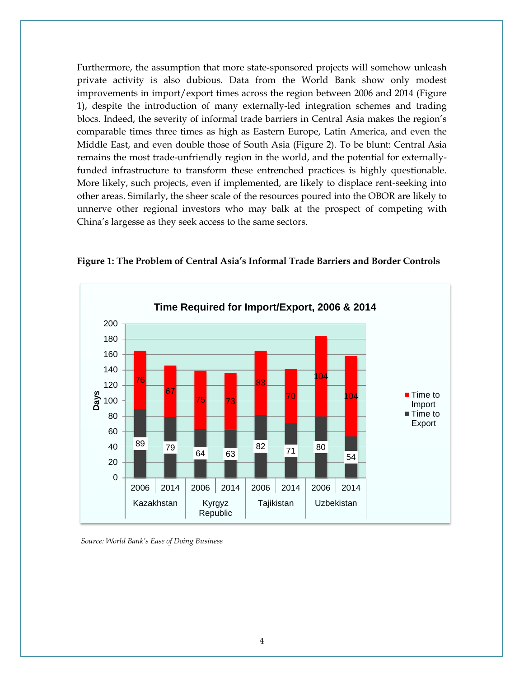Furthermore, the assumption that more state-sponsored projects will somehow unleash private activity is also dubious. Data from the World Bank show only modest improvements in import/export times across the region between 2006 and 2014 (Figure 1), despite the introduction of many externally-led integration schemes and trading blocs. Indeed, the severity of informal trade barriers in Central Asia makes the region's comparable times three times as high as Eastern Europe, Latin America, and even the Middle East, and even double those of South Asia (Figure 2). To be blunt: Central Asia remains the most trade-unfriendly region in the world, and the potential for externallyfunded infrastructure to transform these entrenched practices is highly questionable. More likely, such projects, even if implemented, are likely to displace rent-seeking into other areas. Similarly, the sheer scale of the resources poured into the OBOR are likely to unnerve other regional investors who may balk at the prospect of competing with China's largesse as they seek access to the same sectors.



**Figure 1: The Problem of Central Asia's Informal Trade Barriers and Border Controls**

 *Source: World Bank's Ease of Doing Business*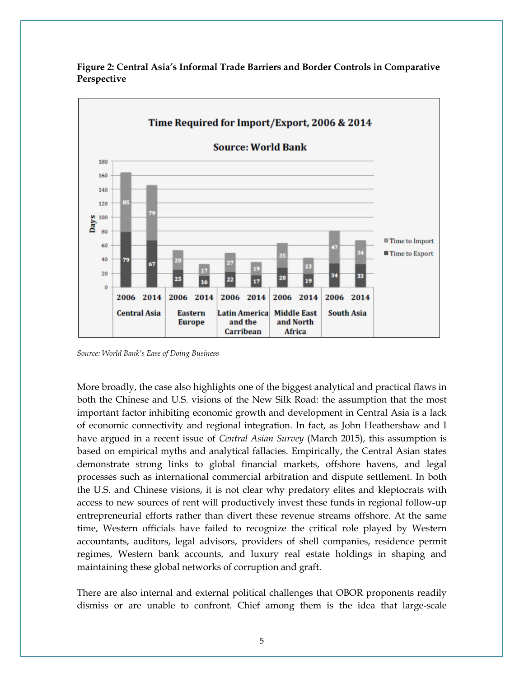

**Figure 2: Central Asia's Informal Trade Barriers and Border Controls in Comparative Perspective**

*Source: World Bank's Ease of Doing Business*

More broadly, the case also highlights one of the biggest analytical and practical flaws in both the Chinese and U.S. visions of the New Silk Road: the assumption that the most important factor inhibiting economic growth and development in Central Asia is a lack of economic connectivity and regional integration. In fact, as John Heathershaw and I have argued in a recent issue of *Central Asian Survey* (March 2015), this assumption is based on empirical myths and analytical fallacies. Empirically, the Central Asian states demonstrate strong links to global financial markets, offshore havens, and legal processes such as international commercial arbitration and dispute settlement. In both the U.S. and Chinese visions, it is not clear why predatory elites and kleptocrats with access to new sources of rent will productively invest these funds in regional follow-up entrepreneurial efforts rather than divert these revenue streams offshore. At the same time, Western officials have failed to recognize the critical role played by Western accountants, auditors, legal advisors, providers of shell companies, residence permit regimes, Western bank accounts, and luxury real estate holdings in shaping and maintaining these global networks of corruption and graft.

There are also internal and external political challenges that OBOR proponents readily dismiss or are unable to confront. Chief among them is the idea that large-scale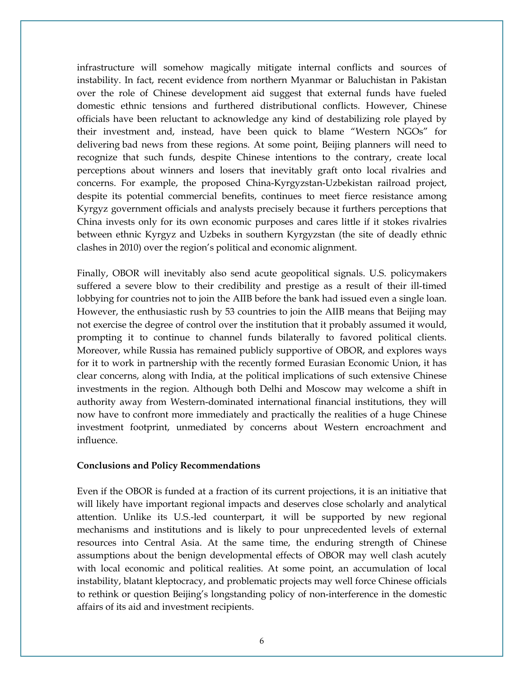infrastructure will somehow magically mitigate internal conflicts and sources of instability. In fact, recent evidence from northern Myanmar or Baluchistan in Pakistan over the role of Chinese development aid suggest that external funds have fueled domestic ethnic tensions and furthered distributional conflicts. However, Chinese officials have been reluctant to acknowledge any kind of destabilizing role played by their investment and, instead, have been quick to blame "Western NGOs" for delivering bad news from these regions. At some point, Beijing planners will need to recognize that such funds, despite Chinese intentions to the contrary, create local perceptions about winners and losers that inevitably graft onto local rivalries and concerns. For example, the proposed China-Kyrgyzstan-Uzbekistan railroad project, despite its potential commercial benefits, continues to meet fierce resistance among Kyrgyz government officials and analysts precisely because it furthers perceptions that China invests only for its own economic purposes and cares little if it stokes rivalries between ethnic Kyrgyz and Uzbeks in southern Kyrgyzstan (the site of deadly ethnic clashes in 2010) over the region's political and economic alignment.

Finally, OBOR will inevitably also send acute geopolitical signals. U.S. policymakers suffered a severe blow to their credibility and prestige as a result of their ill-timed lobbying for countries not to join the AIIB before the bank had issued even a single loan. However, the enthusiastic rush by 53 countries to join the AIIB means that Beijing may not exercise the degree of control over the institution that it probably assumed it would, prompting it to continue to channel funds bilaterally to favored political clients. Moreover, while Russia has remained publicly supportive of OBOR, and explores ways for it to work in partnership with the recently formed Eurasian Economic Union, it has clear concerns, along with India, at the political implications of such extensive Chinese investments in the region. Although both Delhi and Moscow may welcome a shift in authority away from Western-dominated international financial institutions, they will now have to confront more immediately and practically the realities of a huge Chinese investment footprint, unmediated by concerns about Western encroachment and influence.

## **Conclusions and Policy Recommendations**

Even if the OBOR is funded at a fraction of its current projections, it is an initiative that will likely have important regional impacts and deserves close scholarly and analytical attention. Unlike its U.S.-led counterpart, it will be supported by new regional mechanisms and institutions and is likely to pour unprecedented levels of external resources into Central Asia. At the same time, the enduring strength of Chinese assumptions about the benign developmental effects of OBOR may well clash acutely with local economic and political realities. At some point, an accumulation of local instability, blatant kleptocracy, and problematic projects may well force Chinese officials to rethink or question Beijing's longstanding policy of non-interference in the domestic affairs of its aid and investment recipients.